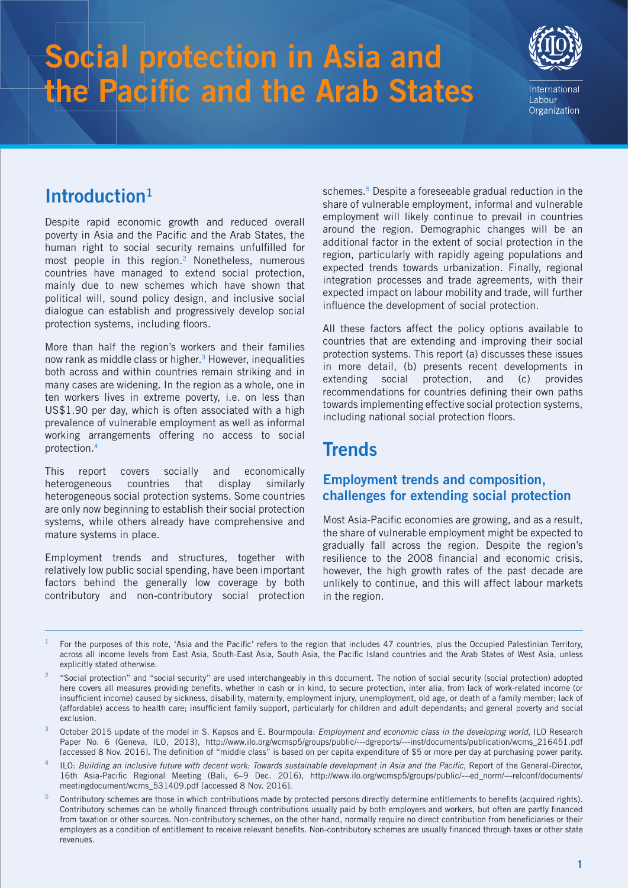# **Social protection in Asia and the Pacific and the Arab States**



Labour Organization

# **Introduction1**

Despite rapid economic growth and reduced overall poverty in Asia and the Pacific and the Arab States, the human right to social security remains unfulfilled for most people in this region.<sup>2</sup> Nonetheless, numerous countries have managed to extend social protection, mainly due to new schemes which have shown that political will, sound policy design, and inclusive social dialogue can establish and progressively develop social protection systems, including floors.

More than half the region's workers and their families now rank as middle class or higher.<sup>3</sup> However, inequalities both across and within countries remain striking and in many cases are widening. In the region as a whole, one in ten workers lives in extreme poverty, i.e. on less than US\$1.90 per day, which is often associated with a high prevalence of vulnerable employment as well as informal working arrangements offering no access to social protection.4

This report covers socially and economically heterogeneous countries that display similarly heterogeneous social protection systems. Some countries are only now beginning to establish their social protection systems, while others already have comprehensive and mature systems in place.

Employment trends and structures, together with relatively low public social spending, have been important factors behind the generally low coverage by both contributory and non-contributory social protection schemes.<sup>5</sup> Despite a foreseeable gradual reduction in the share of vulnerable employment, informal and vulnerable employment will likely continue to prevail in countries around the region. Demographic changes will be an additional factor in the extent of social protection in the region, particularly with rapidly ageing populations and expected trends towards urbanization. Finally, regional integration processes and trade agreements, with their expected impact on labour mobility and trade, will further influence the development of social protection.

All these factors affect the policy options available to countries that are extending and improving their social protection systems. This report (a) discusses these issues in more detail, (b) presents recent developments in extending social protection, and (c) provides recommendations for countries defining their own paths towards implementing effective social protection systems, including national social protection floors.

# **Trends**

### **Employment trends and composition, challenges for extending social protection**

Most Asia-Pacific economies are growing, and as a result, the share of vulnerable employment might be expected to gradually fall across the region. Despite the region's resilience to the 2008 financial and economic crisis, however, the high growth rates of the past decade are unlikely to continue, and this will affect labour markets in the region.

 $1$  For the purposes of this note, 'Asia and the Pacific' refers to the region that includes 47 countries, plus the Occupied Palestinian Territory, across all income levels from East Asia, South-East Asia, South Asia, the Pacific Island countries and the Arab States of West Asia, unless explicitly stated otherwise.

<sup>&</sup>lt;sup>2</sup> "Social protection" and "social security" are used interchangeably in this document. The notion of social security (social protection) adopted here covers all measures providing benefits, whether in cash or in kind, to secure protection, inter alia, from lack of work-related income (or insufficient income) caused by sickness, disability, maternity, employment injury, unemployment, old age, or death of a family member; lack of (affordable) access to health care; insufficient family support, particularly for children and adult dependants; and general poverty and social exclusion.

<sup>3</sup> October 2015 update of the model in S. Kapsos and E. Bourmpoula: *Employment and economic class in the developing world*, ILO Research Paper No. 6 (Geneva, ILO, 2013), http://www.ilo.org/wcmsp5/groups/public/---dgreports/---inst/documents/publication/wcms\_216451.pdf [accessed 8 Nov. 2016]. The definition of "middle class" is based on per capita expenditure of \$5 or more per day at purchasing power parity.

<sup>4</sup> ILO: *Building an inclusive future with decent work: Towards sustainable development in Asia and the Pacific,* Report of the General-Director, 16th Asia-Pacific Regional Meeting (Bali, 6–9 Dec. 2016), http://www.ilo.org/wcmsp5/groups/public/---ed\_norm/---relconf/documents/ meetingdocument/wcms\_531409.pdf [accessed 8 Nov. 2016].

<sup>5</sup> Contributory schemes are those in which contributions made by protected persons directly determine entitlements to benefits (acquired rights). Contributory schemes can be wholly financed through contributions usually paid by both employers and workers, but often are partly financed from taxation or other sources. Non-contributory schemes, on the other hand, normally require no direct contribution from beneficiaries or their employers as a condition of entitlement to receive relevant benefits. Non-contributory schemes are usually financed through taxes or other state revenues.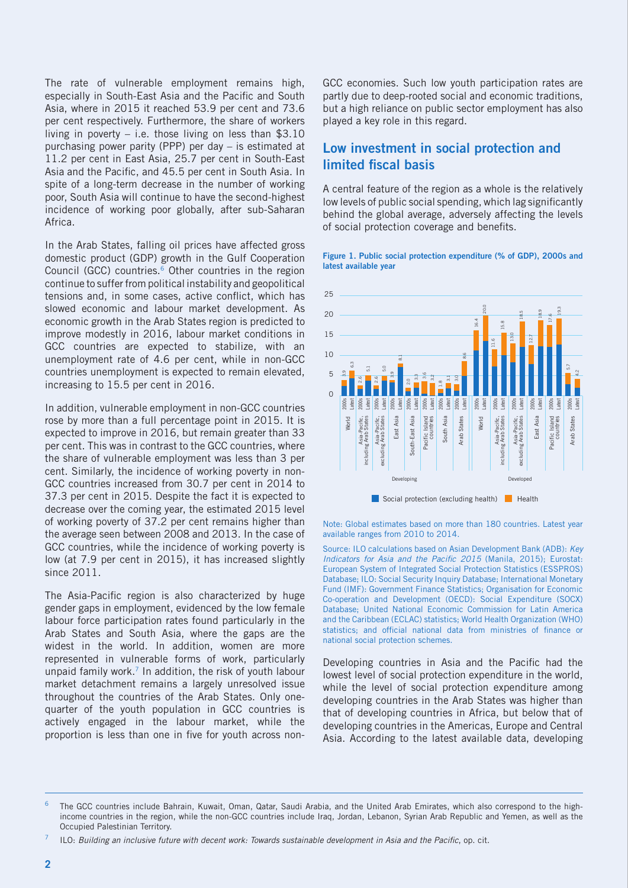The rate of vulnerable employment remains high, especially in South-East Asia and the Pacific and South Asia, where in 2015 it reached 53.9 per cent and 73.6 per cent respectively. Furthermore, the share of workers living in poverty  $-$  i.e. those living on less than \$3.10 purchasing power parity (PPP) per day – is estimated at 11.2 per cent in East Asia, 25.7 per cent in South-East Asia and the Pacific, and 45.5 per cent in South Asia. In spite of a long-term decrease in the number of working poor, South Asia will continue to have the second-highest incidence of working poor globally, after sub-Saharan Africa.

In the Arab States, falling oil prices have affected gross domestic product (GDP) growth in the Gulf Cooperation Council (GCC) countries.<sup>6</sup> Other countries in the region continue to suffer from political instability and geopolitical tensions and, in some cases, active conflict, which has slowed economic and labour market development. As economic growth in the Arab States region is predicted to improve modestly in 2016, labour market conditions in GCC countries are expected to stabilize, with an unemployment rate of 4.6 per cent, while in non-GCC countries unemployment is expected to remain elevated, increasing to 15.5 per cent in 2016.

In addition, vulnerable employment in non-GCC countries rose by more than a full percentage point in 2015. It is expected to improve in 2016, but remain greater than 33 per cent. This was in contrast to the GCC countries, where the share of vulnerable employment was less than 3 per cent. Similarly, the incidence of working poverty in non-GCC countries increased from 30.7 per cent in 2014 to 37.3 per cent in 2015. Despite the fact it is expected to decrease over the coming year, the estimated 2015 level of working poverty of 37.2 per cent remains higher than the average seen between 2008 and 2013. In the case of GCC countries, while the incidence of working poverty is low (at 7.9 per cent in 2015), it has increased slightly since 2011.

The Asia-Pacific region is also characterized by huge gender gaps in employment, evidenced by the low female labour force participation rates found particularly in the Arab States and South Asia, where the gaps are the widest in the world. In addition, women are more represented in vulnerable forms of work, particularly unpaid family work.7 In addition, the risk of youth labour market detachment remains a largely unresolved issue throughout the countries of the Arab States. Only onequarter of the youth population in GCC countries is actively engaged in the labour market, while the proportion is less than one in five for youth across nonGCC economies. Such low youth participation rates are partly due to deep-rooted social and economic traditions, but a high reliance on public sector employment has also played a key role in this regard.

### **Low investment in social protection and limited fiscal basis**

A central feature of the region as a whole is the relatively low levels of public social spending, which lag significantly behind the global average, adversely affecting the levels of social protection coverage and benefits.

#### **Figure 1. Public social protection expenditure (% of GDP), 2000s and latest available year**



Note: Global estimates based on more than 180 countries. Latest year available ranges from 2010 to 2014.

Source: ILO calculations based on Asian Development Bank (ADB): *Key Indicators for Asia and the Pacific 2015* (Manila, 2015); Eurostat: European System of Integrated Social Protection Statistics (ESSPROS) Database; ILO: Social Security Inquiry Database; International Monetary Fund (IMF): Government Finance Statistics; Organisation for Economic Co-operation and Development (OECD): Social Expenditure (SOCX) Database; United National Economic Commission for Latin America and the Caribbean (ECLAC) statistics; World Health Organization (WHO) statistics; and official national data from ministries of finance or national social protection schemes.

Developing countries in Asia and the Pacific had the lowest level of social protection expenditure in the world, while the level of social protection expenditure among developing countries in the Arab States was higher than that of developing countries in Africa, but below that of developing countries in the Americas, Europe and Central Asia. According to the latest available data, developing

The GCC countries include Bahrain, Kuwait, Oman, Qatar, Saudi Arabia, and the United Arab Emirates, which also correspond to the highincome countries in the region, while the non-GCC countries include Iraq, Jordan, Lebanon, Syrian Arab Republic and Yemen, as well as the Occupied Palestinian Territory.

<sup>7</sup> ILO: *Building an inclusive future with decent work: Towards sustainable development in Asia and the Pacific*, op. cit.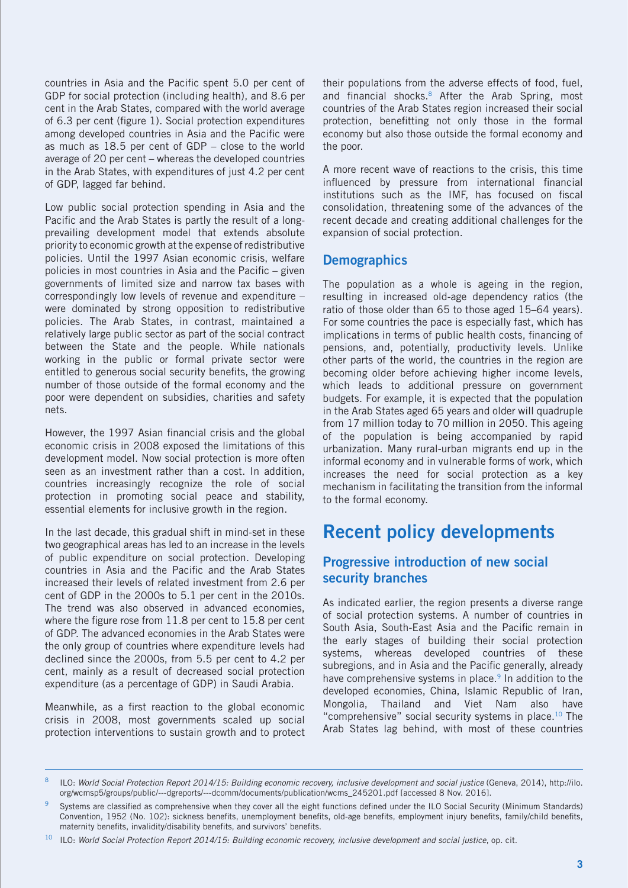countries in Asia and the Pacific spent 5.0 per cent of GDP for social protection (including health), and 8.6 per cent in the Arab States, compared with the world average of 6.3 per cent (figure 1). Social protection expenditures among developed countries in Asia and the Pacific were as much as 18.5 per cent of GDP – close to the world average of 20 per cent – whereas the developed countries in the Arab States, with expenditures of just 4.2 per cent of GDP, lagged far behind.

Low public social protection spending in Asia and the Pacific and the Arab States is partly the result of a longprevailing development model that extends absolute priority to economic growth at the expense of redistributive policies. Until the 1997 Asian economic crisis, welfare policies in most countries in Asia and the Pacific – given governments of limited size and narrow tax bases with correspondingly low levels of revenue and expenditure – were dominated by strong opposition to redistributive policies. The Arab States, in contrast, maintained a relatively large public sector as part of the social contract between the State and the people. While nationals working in the public or formal private sector were entitled to generous social security benefits, the growing number of those outside of the formal economy and the poor were dependent on subsidies, charities and safety nets.

However, the 1997 Asian financial crisis and the global economic crisis in 2008 exposed the limitations of this development model. Now social protection is more often seen as an investment rather than a cost. In addition, countries increasingly recognize the role of social protection in promoting social peace and stability, essential elements for inclusive growth in the region.

In the last decade, this gradual shift in mind-set in these two geographical areas has led to an increase in the levels of public expenditure on social protection. Developing countries in Asia and the Pacific and the Arab States increased their levels of related investment from 2.6 per cent of GDP in the 2000s to 5.1 per cent in the 2010s. The trend was also observed in advanced economies, where the figure rose from 11.8 per cent to 15.8 per cent of GDP. The advanced economies in the Arab States were the only group of countries where expenditure levels had declined since the 2000s, from 5.5 per cent to 4.2 per cent, mainly as a result of decreased social protection expenditure (as a percentage of GDP) in Saudi Arabia.

Meanwhile, as a first reaction to the global economic crisis in 2008, most governments scaled up social protection interventions to sustain growth and to protect their populations from the adverse effects of food, fuel, and financial shocks.<sup>8</sup> After the Arab Spring, most countries of the Arab States region increased their social protection, benefitting not only those in the formal economy but also those outside the formal economy and the poor.

A more recent wave of reactions to the crisis, this time influenced by pressure from international financial institutions such as the IMF, has focused on fiscal consolidation, threatening some of the advances of the recent decade and creating additional challenges for the expansion of social protection.

#### **Demographics**

The population as a whole is ageing in the region, resulting in increased old-age dependency ratios (the ratio of those older than 65 to those aged 15–64 years). For some countries the pace is especially fast, which has implications in terms of public health costs, financing of pensions, and, potentially, productivity levels. Unlike other parts of the world, the countries in the region are becoming older before achieving higher income levels, which leads to additional pressure on government budgets. For example, it is expected that the population in the Arab States aged 65 years and older will quadruple from 17 million today to 70 million in 2050. This ageing of the population is being accompanied by rapid urbanization. Many rural-urban migrants end up in the informal economy and in vulnerable forms of work, which increases the need for social protection as a key mechanism in facilitating the transition from the informal to the formal economy.

# **Recent policy developments**

### **Progressive introduction of new social security branches**

As indicated earlier, the region presents a diverse range of social protection systems. A number of countries in South Asia, South-East Asia and the Pacific remain in the early stages of building their social protection systems, whereas developed countries of these subregions, and in Asia and the Pacific generally, already have comprehensive systems in place.<sup>9</sup> In addition to the developed economies, China, Islamic Republic of Iran, Mongolia, Thailand and Viet Nam also have "comprehensive" social security systems in place.<sup>10</sup> The Arab States lag behind, with most of these countries

<sup>8</sup> ILO: *World Social Protection Report 2014/15: Building economic recovery, inclusive development and social justice* (Geneva, 2014), http://ilo. org/wcmsp5/groups/public/---dgreports/---dcomm/documents/publication/wcms\_245201.pdf [accessed 8 Nov. 2016].

Systems are classified as comprehensive when they cover all the eight functions defined under the ILO Social Security (Minimum Standards) Convention, 1952 (No. 102): sickness benefits, unemployment benefits, old-age benefits, employment injury benefits, family/child benefits, maternity benefits, invalidity/disability benefits, and survivors' benefits.

<sup>&</sup>lt;sup>10</sup> ILO: World Social Protection Report 2014/15: Building economic recovery, inclusive development and social justice, op. cit.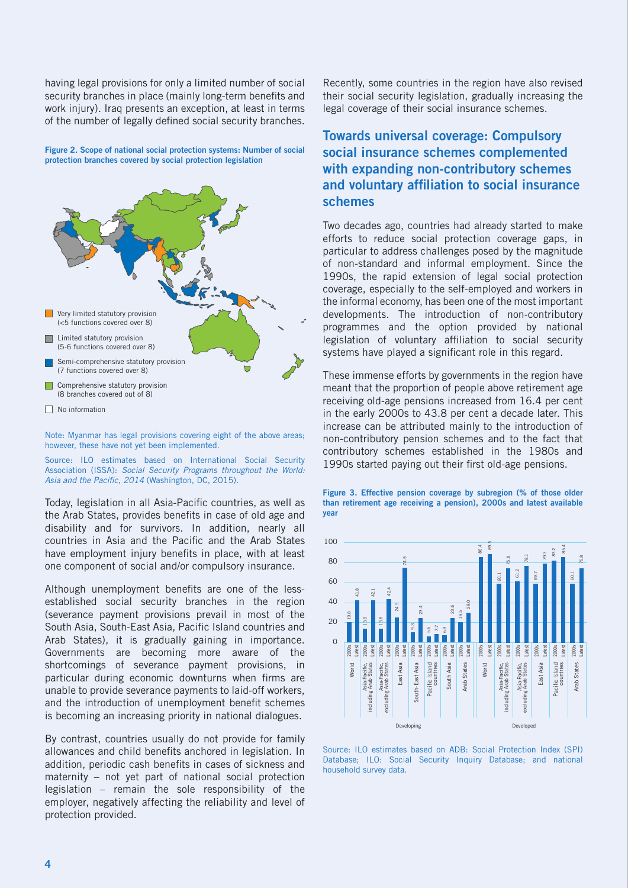having legal provisions for only a limited number of social security branches in place (mainly long-term benefits and work injury). Iraq presents an exception, at least in terms of the number of legally defined social security branches.

**Figure 2. Scope of national social protection systems: Number of social protection branches covered by social protection legislation**



Note: Myanmar has legal provisions covering eight of the above areas; however, these have not yet been implemented.

Source: ILO estimates based on International Social Security Association (ISSA): *Social Security Programs throughout the World: Asia and the Pacific, 2014* (Washington, DC, 2015).

Today, legislation in all Asia-Pacific countries, as well as the Arab States, provides benefits in case of old age and disability and for survivors. In addition, nearly all countries in Asia and the Pacific and the Arab States have employment injury benefits in place, with at least one component of social and/or compulsory insurance.

Although unemployment benefits are one of the lessestablished social security branches in the region (severance payment provisions prevail in most of the South Asia, South-East Asia, Pacific Island countries and Arab States), it is gradually gaining in importance. Governments are becoming more aware of the shortcomings of severance payment provisions, in particular during economic downturns when firms are unable to provide severance payments to laid-off workers, and the introduction of unemployment benefit schemes is becoming an increasing priority in national dialogues.

By contrast, countries usually do not provide for family allowances and child benefits anchored in legislation. In addition, periodic cash benefits in cases of sickness and maternity – not yet part of national social protection legislation – remain the sole responsibility of the employer, negatively affecting the reliability and level of protection provided.

Recently, some countries in the region have also revised their social security legislation, gradually increasing the legal coverage of their social insurance schemes.

### **Towards universal coverage: Compulsory social insurance schemes complemented with expanding non-contributory schemes and voluntary affiliation to social insurance schemes**

Two decades ago, countries had already started to make efforts to reduce social protection coverage gaps, in particular to address challenges posed by the magnitude of non-standard and informal employment. Since the 1990s, the rapid extension of legal social protection coverage, especially to the self-employed and workers in the informal economy, has been one of the most important developments. The introduction of non-contributory programmes and the option provided by national legislation of voluntary affiliation to social security systems have played a significant role in this regard.

These immense efforts by governments in the region have meant that the proportion of people above retirement age receiving old-age pensions increased from 16.4 per cent in the early 2000s to 43.8 per cent a decade later. This increase can be attributed mainly to the introduction of non-contributory pension schemes and to the fact that contributory schemes established in the 1980s and 1990s started paying out their first old-age pensions.





Source: ILO estimates based on ADB: Social Protection Index (SPI) Database; ILO: Social Security Inquiry Database; and national household survey data.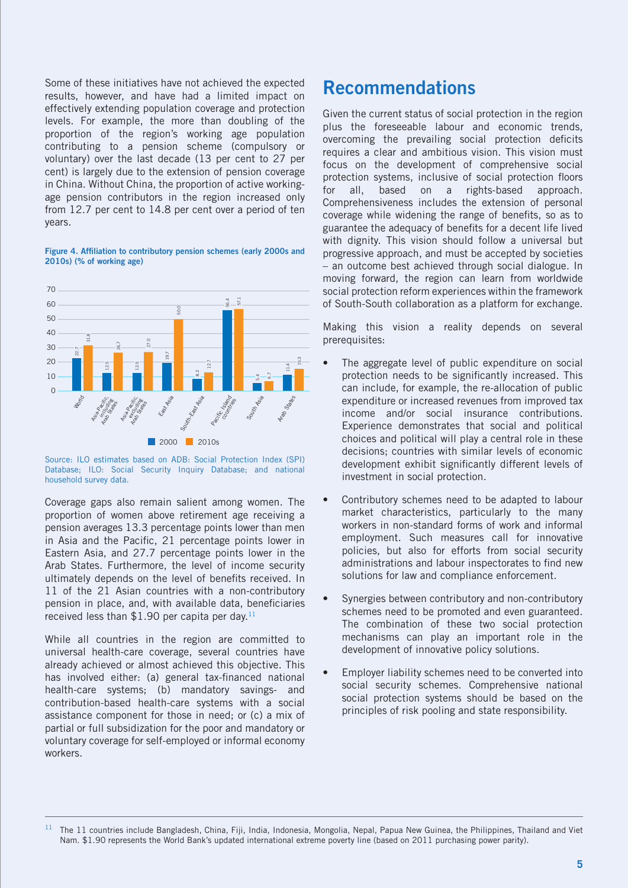Some of these initiatives have not achieved the expected results, however, and have had a limited impact on effectively extending population coverage and protection levels. For example, the more than doubling of the proportion of the region's working age population contributing to a pension scheme (compulsory or voluntary) over the last decade (13 per cent to 27 per cent) is largely due to the extension of pension coverage in China. Without China, the proportion of active workingage pension contributors in the region increased only from 12.7 per cent to 14.8 per cent over a period of ten years.

**Figure 4. Affiliation to contributory pension schemes (early 2000s and 2010s) (% of working age)**



Source: ILO estimates based on ADB: Social Protection Index (SPI) Database; ILO: Social Security Inquiry Database; and national household survey data.

Coverage gaps also remain salient among women. The proportion of women above retirement age receiving a pension averages 13.3 percentage points lower than men in Asia and the Pacific, 21 percentage points lower in Eastern Asia, and 27.7 percentage points lower in the Arab States. Furthermore, the level of income security ultimately depends on the level of benefits received. In 11 of the 21 Asian countries with a non-contributory pension in place, and, with available data, beneficiaries received less than \$1.90 per capita per day.<sup>11</sup>

While all countries in the region are committed to universal health-care coverage, several countries have already achieved or almost achieved this objective. This has involved either: (a) general tax-financed national health-care systems; (b) mandatory savings- and contribution-based health-care systems with a social assistance component for those in need; or (c) a mix of partial or full subsidization for the poor and mandatory or voluntary coverage for self-employed or informal economy workers.

### **Recommendations**

Given the current status of social protection in the region plus the foreseeable labour and economic trends, overcoming the prevailing social protection deficits requires a clear and ambitious vision. This vision must focus on the development of comprehensive social protection systems, inclusive of social protection floors for all, based on a rights-based approach. Comprehensiveness includes the extension of personal coverage while widening the range of benefits, so as to guarantee the adequacy of benefits for a decent life lived with dignity. This vision should follow a universal but progressive approach, and must be accepted by societies – an outcome best achieved through social dialogue. In moving forward, the region can learn from worldwide social protection reform experiences within the framework of South-South collaboration as a platform for exchange.

Making this vision a reality depends on several prerequisites:

- The aggregate level of public expenditure on social protection needs to be significantly increased. This can include, for example, the re-allocation of public expenditure or increased revenues from improved tax income and/or social insurance contributions. Experience demonstrates that social and political choices and political will play a central role in these decisions; countries with similar levels of economic development exhibit significantly different levels of investment in social protection.
- Contributory schemes need to be adapted to labour market characteristics, particularly to the many workers in non-standard forms of work and informal employment. Such measures call for innovative policies, but also for efforts from social security administrations and labour inspectorates to find new solutions for law and compliance enforcement.
- Synergies between contributory and non-contributory schemes need to be promoted and even guaranteed. The combination of these two social protection mechanisms can play an important role in the development of innovative policy solutions.
- Employer liability schemes need to be converted into social security schemes. Comprehensive national social protection systems should be based on the principles of risk pooling and state responsibility.

<sup>11</sup> The 11 countries include Bangladesh, China, Fiji, India, Indonesia, Mongolia, Nepal, Papua New Guinea, the Philippines, Thailand and Viet Nam. \$1.90 represents the World Bank's updated international extreme poverty line (based on 2011 purchasing power parity).